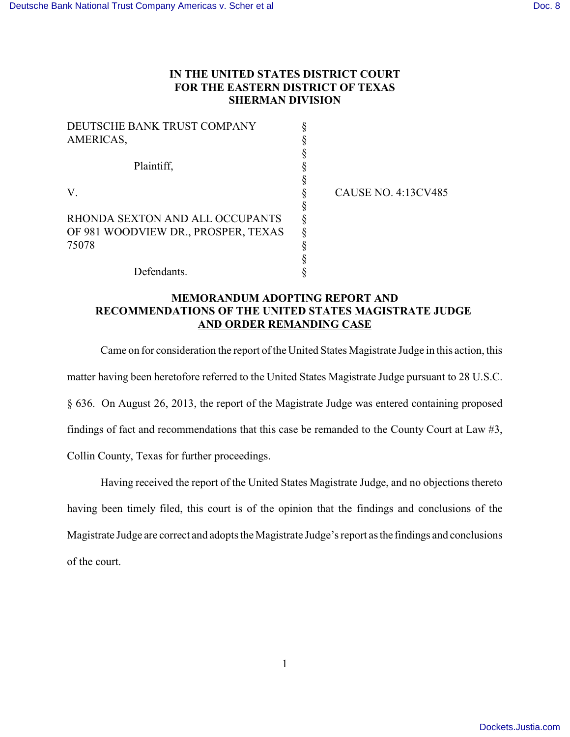## **IN THE UNITED STATES DISTRICT COURT FOR THE EASTERN DISTRICT OF TEXAS SHERMAN DIVISION**

| DEUTSCHE BANK TRUST COMPANY         |  |
|-------------------------------------|--|
| AMERICAS,                           |  |
|                                     |  |
| Plaintiff,                          |  |
|                                     |  |
| V                                   |  |
|                                     |  |
| RHONDA SEXTON AND ALL OCCUPANTS     |  |
| OF 981 WOODVIEW DR., PROSPER, TEXAS |  |
| 75078                               |  |
|                                     |  |
| Defendants.                         |  |

CAUSE NO. 4:13CV485

## **MEMORANDUM ADOPTING REPORT AND RECOMMENDATIONS OF THE UNITED STATES MAGISTRATE JUDGE AND ORDER REMANDING CASE**

Came on for consideration the report of the United States Magistrate Judge in this action, this matter having been heretofore referred to the United States Magistrate Judge pursuant to 28 U.S.C. § 636. On August 26, 2013, the report of the Magistrate Judge was entered containing proposed findings of fact and recommendations that this case be remanded to the County Court at Law #3, Collin County, Texas for further proceedings.

Having received the report of the United States Magistrate Judge, and no objections thereto having been timely filed, this court is of the opinion that the findings and conclusions of the Magistrate Judge are correct and adopts the Magistrate Judge's report as the findings and conclusions of the court.